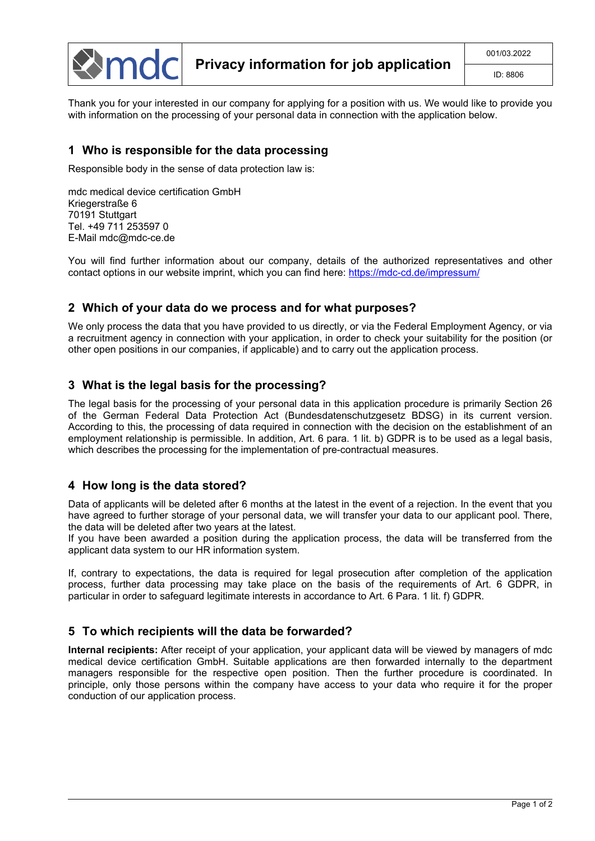

Thank you for your interested in our company for applying for a position with us. We would like to provide you with information on the processing of your personal data in connection with the application below.

#### **1 Who is responsible for the data processing**

Responsible body in the sense of data protection law is:

mdc medical device certification GmbH Kriegerstraße 6 70191 Stuttgart Tel. +49 711 253597 0 E-Mail mdc@mdc-ce.de

You will find further information about our company, details of the authorized representatives and other contact options in our website imprint, which you can find here: <https://mdc-cd.de/impressum/>

#### **2 Which of your data do we process and for what purposes?**

We only process the data that you have provided to us directly, or via the Federal Employment Agency, or via a recruitment agency in connection with your application, in order to check your suitability for the position (or other open positions in our companies, if applicable) and to carry out the application process.

## **3 What is the legal basis for the processing?**

The legal basis for the processing of your personal data in this application procedure is primarily Section 26 of the German Federal Data Protection Act (Bundesdatenschutzgesetz BDSG) in its current version. According to this, the processing of data required in connection with the decision on the establishment of an employment relationship is permissible. In addition, Art. 6 para. 1 lit. b) GDPR is to be used as a legal basis, which describes the processing for the implementation of pre-contractual measures.

## **4 How long is the data stored?**

Data of applicants will be deleted after 6 months at the latest in the event of a rejection. In the event that you have agreed to further storage of your personal data, we will transfer your data to our applicant pool. There, the data will be deleted after two years at the latest.

If you have been awarded a position during the application process, the data will be transferred from the applicant data system to our HR information system.

If, contrary to expectations, the data is required for legal prosecution after completion of the application process, further data processing may take place on the basis of the requirements of Art. 6 GDPR, in particular in order to safeguard legitimate interests in accordance to Art. 6 Para. 1 lit. f) GDPR.

## **5 To which recipients will the data be forwarded?**

**Internal recipients:** After receipt of your application, your applicant data will be viewed by managers of mdc medical device certification GmbH. Suitable applications are then forwarded internally to the department managers responsible for the respective open position. Then the further procedure is coordinated. In principle, only those persons within the company have access to your data who require it for the proper conduction of our application process.